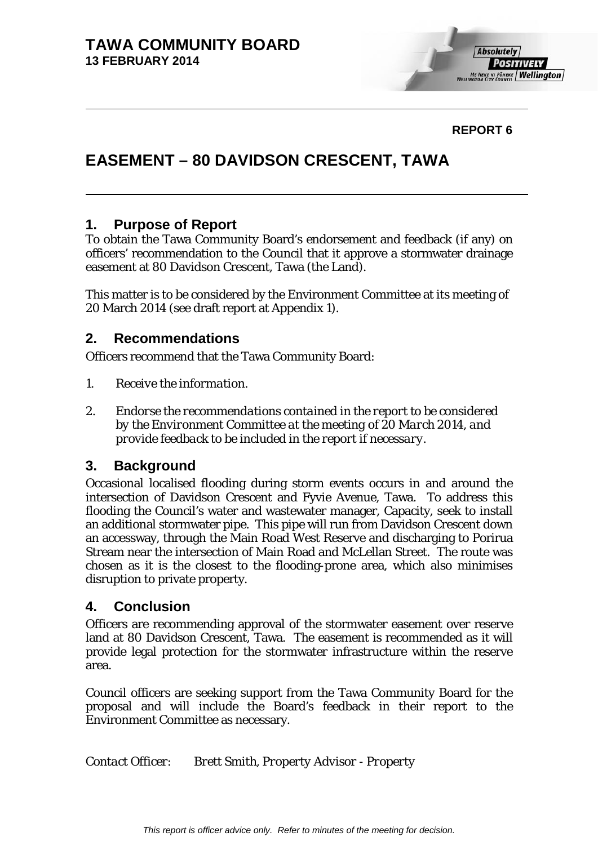

### **REPORT 6**

# **EASEMENT – 80 DAVIDSON CRESCENT, TAWA**

### **1. Purpose of Report**

To obtain the Tawa Community Board's endorsement and feedback (if any) on officers' recommendation to the Council that it approve a stormwater drainage easement at 80 Davidson Crescent, Tawa (the Land).

This matter is to be considered by the Environment Committee at its meeting of 20 March 2014 (see draft report at Appendix 1).

### **2. Recommendations**

Officers recommend that the Tawa Community Board:

- *1. Receive the information.*
- *2. Endorse the recommendations contained in the report to be considered by the Environment Committee at the meeting of 20 March 2014, and provide feedback to be included in the report if necessary.*

### **3. Background**

Occasional localised flooding during storm events occurs in and around the intersection of Davidson Crescent and Fyvie Avenue, Tawa. To address this flooding the Council's water and wastewater manager, Capacity, seek to install an additional stormwater pipe. This pipe will run from Davidson Crescent down an accessway, through the Main Road West Reserve and discharging to Porirua Stream near the intersection of Main Road and McLellan Street. The route was chosen as it is the closest to the flooding-prone area, which also minimises disruption to private property.

### **4. Conclusion**

Officers are recommending approval of the stormwater easement over reserve land at 80 Davidson Crescent, Tawa. The easement is recommended as it will provide legal protection for the stormwater infrastructure within the reserve area.

Council officers are seeking support from the Tawa Community Board for the proposal and will include the Board's feedback in their report to the Environment Committee as necessary.

*Contact Officer: Brett Smith, Property Advisor - Property*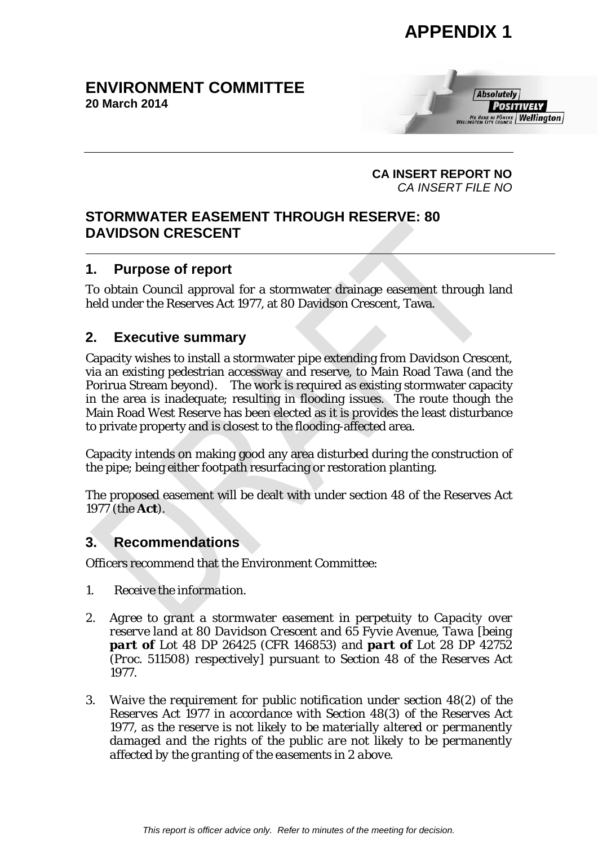### **ENVIRONMENT COMMITTEE 20 March 2014**



**CA INSERT REPORT NO** *CA INSERT FILE NO*

## **STORMWATER EASEMENT THROUGH RESERVE: 80 DAVIDSON CRESCENT**

## **1. Purpose of report**

To obtain Council approval for a stormwater drainage easement through land held under the Reserves Act 1977, at 80 Davidson Crescent, Tawa.

# **2. Executive summary**

Capacity wishes to install a stormwater pipe extending from Davidson Crescent, via an existing pedestrian accessway and reserve, to Main Road Tawa (and the Porirua Stream beyond). The work is required as existing stormwater capacity in the area is inadequate; resulting in flooding issues. The route though the Main Road West Reserve has been elected as it is provides the least disturbance to private property and is closest to the flooding-affected area.

Capacity intends on making good any area disturbed during the construction of the pipe; being either footpath resurfacing or restoration planting.

The proposed easement will be dealt with under section 48 of the Reserves Act 1977 (the **Act**).

# **3. Recommendations**

Officers recommend that the Environment Committee:

- *1. Receive the information.*
- *2. Agree to grant a stormwater easement in perpetuity to Capacity over reserve land at 80 Davidson Crescent and 65 Fyvie Avenue, Tawa [being part of Lot 48 DP 26425 (CFR 146853) and part of Lot 28 DP 42752 (Proc. 511508) respectively] pursuant to Section 48 of the Reserves Act 1977.*
- *3. Waive the requirement for public notification under section 48(2) of the Reserves Act 1977 in accordance with Section 48(3) of the Reserves Act 1977, as the reserve is not likely to be materially altered or permanently damaged and the rights of the public are not likely to be permanently affected by the granting of the easements in 2 above.*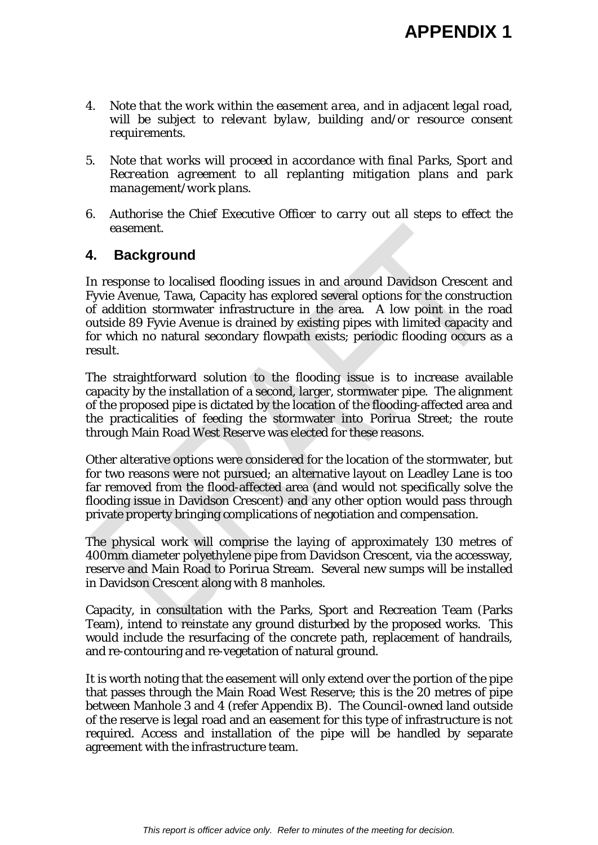- *4. Note that the work within the easement area, and in adjacent legal road, will be subject to relevant bylaw, building and/or resource consent requirements.*
- *5. Note that works will proceed in accordance with final Parks, Sport and Recreation agreement to all replanting mitigation plans and park management/work plans.*
- *6. Authorise the Chief Executive Officer to carry out all steps to effect the easement.*

### **4. Background**

In response to localised flooding issues in and around Davidson Crescent and Fyvie Avenue, Tawa, Capacity has explored several options for the construction of addition stormwater infrastructure in the area. A low point in the road outside 89 Fyvie Avenue is drained by existing pipes with limited capacity and for which no natural secondary flowpath exists; periodic flooding occurs as a result.

The straightforward solution to the flooding issue is to increase available capacity by the installation of a second, larger, stormwater pipe. The alignment of the proposed pipe is dictated by the location of the flooding-affected area and the practicalities of feeding the stormwater into Porirua Street; the route through Main Road West Reserve was elected for these reasons.

Other alterative options were considered for the location of the stormwater, but for two reasons were not pursued; an alternative layout on Leadley Lane is too far removed from the flood-affected area (and would not specifically solve the flooding issue in Davidson Crescent) and any other option would pass through private property bringing complications of negotiation and compensation.

The physical work will comprise the laying of approximately 130 metres of 400mm diameter polyethylene pipe from Davidson Crescent, via the accessway, reserve and Main Road to Porirua Stream. Several new sumps will be installed in Davidson Crescent along with 8 manholes.

Capacity, in consultation with the Parks, Sport and Recreation Team (Parks Team), intend to reinstate any ground disturbed by the proposed works. This would include the resurfacing of the concrete path, replacement of handrails, and re-contouring and re-vegetation of natural ground.

It is worth noting that the easement will only extend over the portion of the pipe that passes through the Main Road West Reserve; this is the 20 metres of pipe between Manhole 3 and 4 (refer Appendix B). The Council-owned land outside of the reserve is legal road and an easement for this type of infrastructure is not required. Access and installation of the pipe will be handled by separate agreement with the infrastructure team.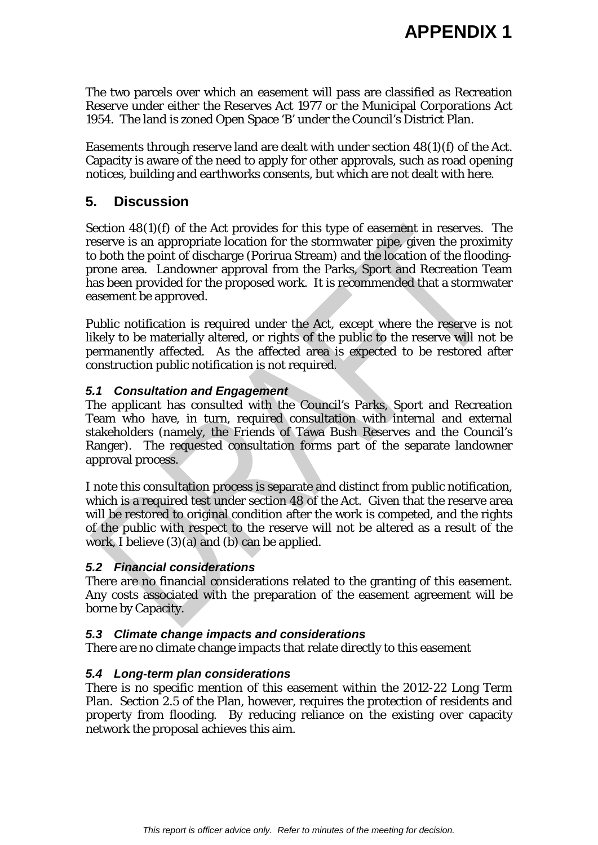The two parcels over which an easement will pass are classified as Recreation Reserve under either the Reserves Act 1977 or the Municipal Corporations Act 1954. The land is zoned Open Space 'B' under the Council's District Plan.

Easements through reserve land are dealt with under section 48(1)(f) of the Act. Capacity is aware of the need to apply for other approvals, such as road opening notices, building and earthworks consents, but which are not dealt with here.

### **5. Discussion**

Section 48(1)(f) of the Act provides for this type of easement in reserves. The reserve is an appropriate location for the stormwater pipe, given the proximity to both the point of discharge (Porirua Stream) and the location of the floodingprone area. Landowner approval from the Parks, Sport and Recreation Team has been provided for the proposed work. It is recommended that a stormwater easement be approved.

Public notification is required under the Act, except where the reserve is not likely to be materially altered, or rights of the public to the reserve will not be permanently affected. As the affected area is expected to be restored after construction public notification is not required.

#### *5.1 Consultation and Engagement*

The applicant has consulted with the Council's Parks, Sport and Recreation Team who have, in turn, required consultation with internal and external stakeholders (namely, the Friends of Tawa Bush Reserves and the Council's Ranger). The requested consultation forms part of the separate landowner approval process.

I note this consultation process is separate and distinct from public notification, which is a required test under section 48 of the Act. Given that the reserve area will be restored to original condition after the work is competed, and the rights of the public with respect to the reserve will not be altered as a result of the work, I believe (3)(a) and (b) can be applied.

#### *5.2 Financial considerations*

There are no financial considerations related to the granting of this easement. Any costs associated with the preparation of the easement agreement will be borne by Capacity.

#### *5.3 Climate change impacts and considerations*

There are no climate change impacts that relate directly to this easement

### *5.4 Long-term plan considerations*

There is no specific mention of this easement within the 2012-22 Long Term Plan. Section 2.5 of the Plan, however, requires the protection of residents and property from flooding. By reducing reliance on the existing over capacity network the proposal achieves this aim.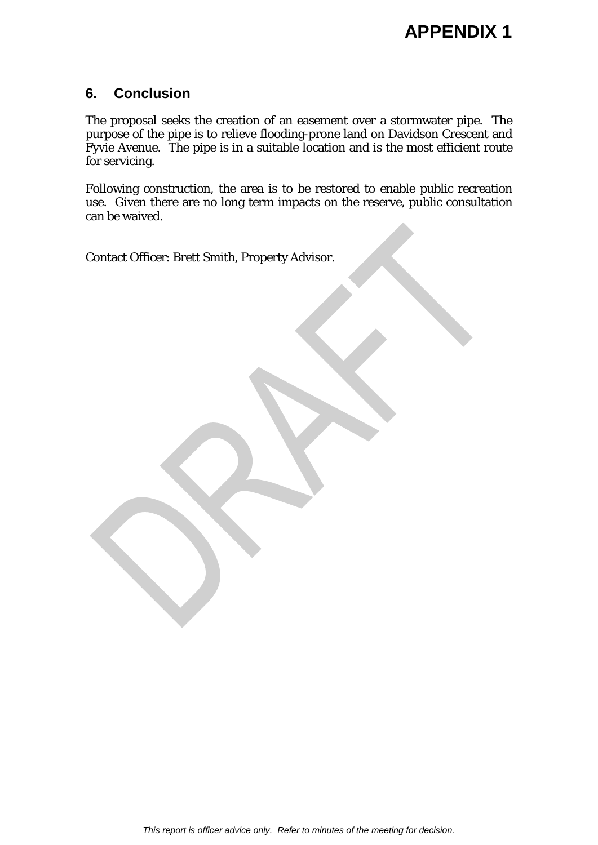### **6. Conclusion**

The proposal seeks the creation of an easement over a stormwater pipe. The purpose of the pipe is to relieve flooding-prone land on Davidson Crescent and Fyvie Avenue. The pipe is in a suitable location and is the most efficient route for servicing.

Following construction, the area is to be restored to enable public recreation use. Given there are no long term impacts on the reserve, public consultation can be waived.

Contact Officer: Brett Smith, Property Advisor.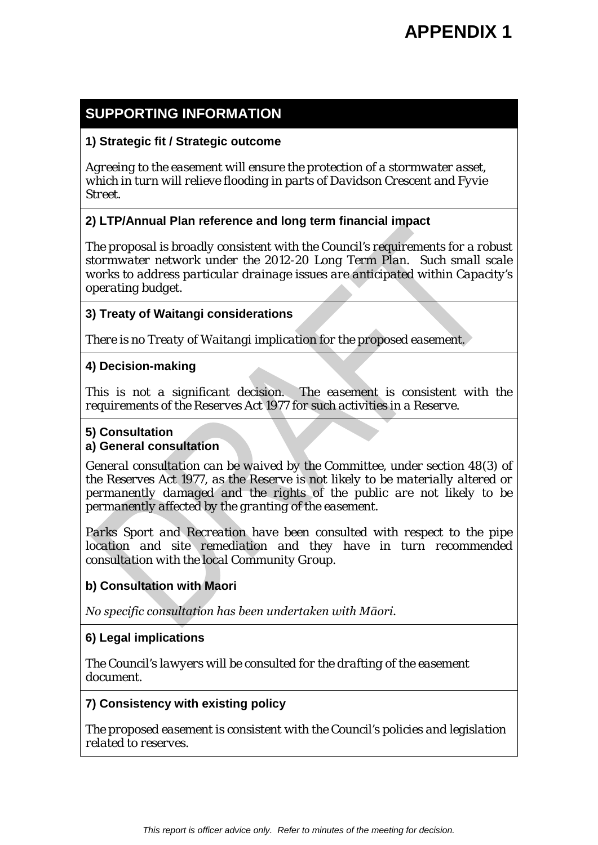# **SUPPORTING INFORMATION**

#### **1) Strategic fit / Strategic outcome**

*Agreeing to the easement will ensure the protection of a stormwater asset, which in turn will relieve flooding in parts of Davidson Crescent and Fyvie Street.*

### **2) LTP/Annual Plan reference and long term financial impact**

*The proposal is broadly consistent with the Council's requirements for a robust stormwater network under the 2012-20 Long Term Plan. Such small scale works to address particular drainage issues are anticipated within Capacity's operating budget.* 

#### **3) Treaty of Waitangi considerations**

*There is no Treaty of Waitangi implication for the proposed easement.*

#### **4) Decision-making**

*This is not a significant decision. The easement is consistent with the requirements of the Reserves Act 1977 for such activities in a Reserve.*

#### **5) Consultation**

#### **a) General consultation**

*General consultation can be waived by the Committee, under section 48(3) of the Reserves Act 1977, as the Reserve is not likely to be materially altered or permanently damaged and the rights of the public are not likely to be permanently affected by the granting of the easement.*

*Parks Sport and Recreation have been consulted with respect to the pipe location and site remediation and they have in turn recommended consultation with the local Community Group.* 

### **b) Consultation with Maori**

*No specific consultation has been undertaken with Māori.* 

### **6) Legal implications**

*The Council's lawyers will be consulted for the drafting of the easement document.*

#### **7) Consistency with existing policy**

*The proposed easement is consistent with the Council's policies and legislation related to reserves.*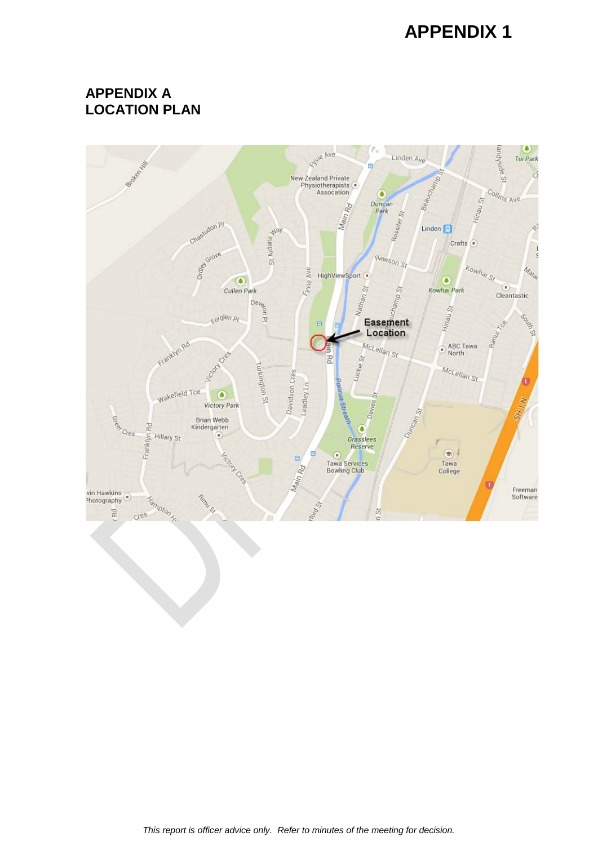## **APPENDIX A LOCATION PLAN**

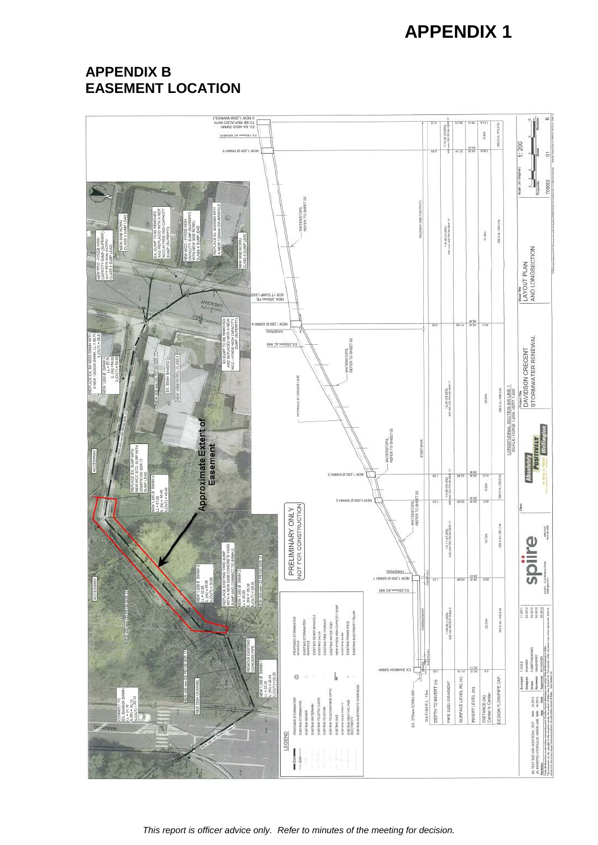# **APPENDIX B EASEMENT LOCATION**



*This report is officer advice only. Refer to minutes of the meeting for decision.*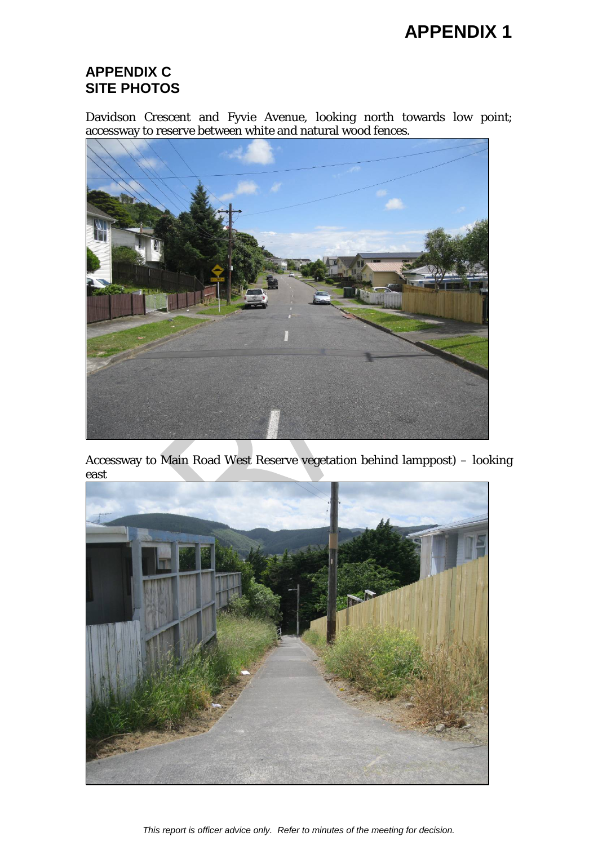## **APPENDIX C SITE PHOTOS**

Davidson Crescent and Fyvie Avenue, looking north towards low point; accessway to reserve between white and natural wood fences.



Accessway to Main Road West Reserve vegetation behind lamppost) – looking east



*This report is officer advice only. Refer to minutes of the meeting for decision.*